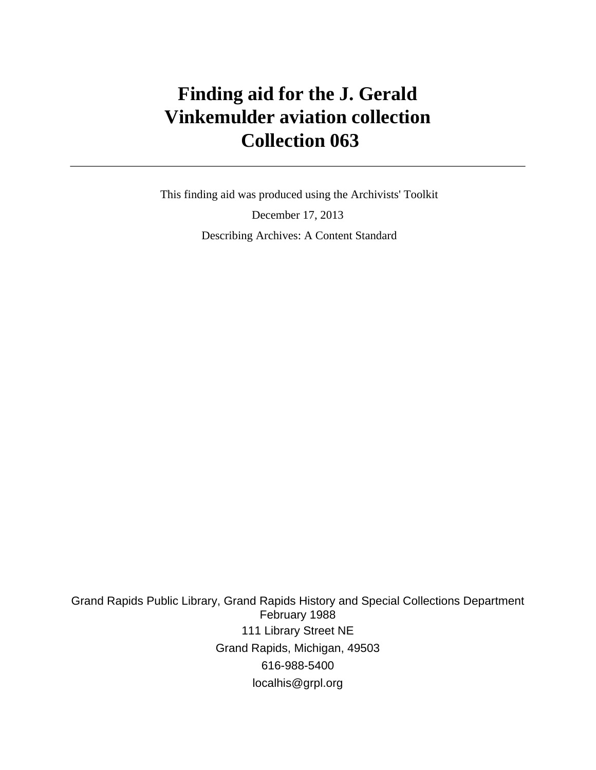# **Finding aid for the J. Gerald Vinkemulder aviation collection Collection 063**

 This finding aid was produced using the Archivists' Toolkit December 17, 2013 Describing Archives: A Content Standard

Grand Rapids Public Library, Grand Rapids History and Special Collections Department February 1988 111 Library Street NE Grand Rapids, Michigan, 49503 616-988-5400 localhis@grpl.org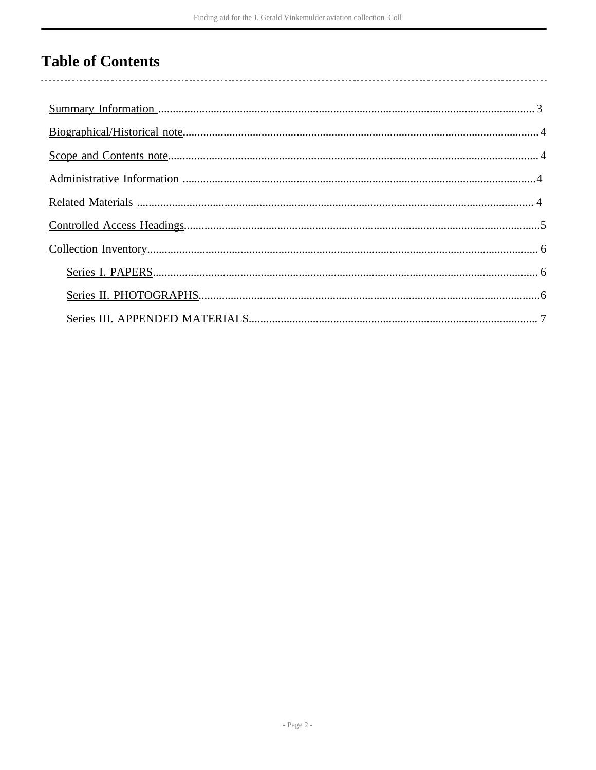# **Table of Contents**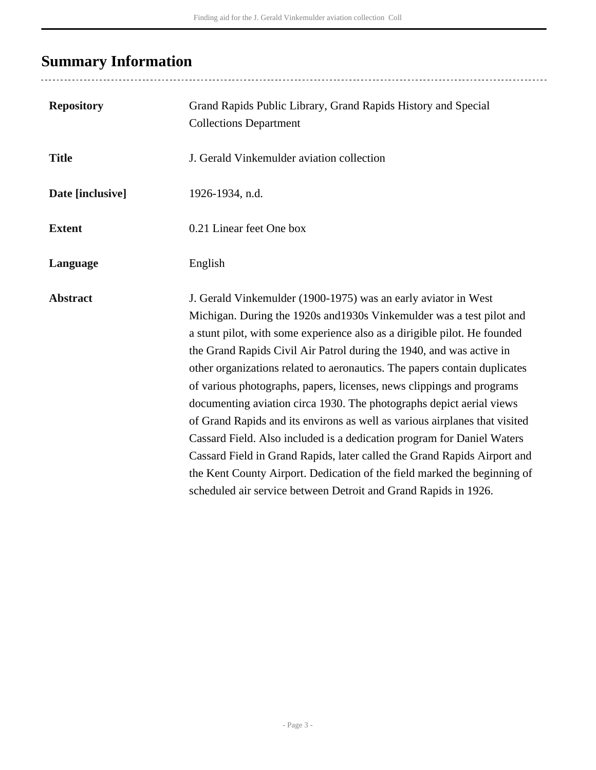# <span id="page-2-0"></span>**Summary Information**

..................................

| <b>Repository</b> | Grand Rapids Public Library, Grand Rapids History and Special<br><b>Collections Department</b>                                                                                                                                                                                                                                                                                                                                                                                                                                                                                                                                                                                                                                                                                                                                                                                                                |
|-------------------|---------------------------------------------------------------------------------------------------------------------------------------------------------------------------------------------------------------------------------------------------------------------------------------------------------------------------------------------------------------------------------------------------------------------------------------------------------------------------------------------------------------------------------------------------------------------------------------------------------------------------------------------------------------------------------------------------------------------------------------------------------------------------------------------------------------------------------------------------------------------------------------------------------------|
| <b>Title</b>      | J. Gerald Vinkemulder aviation collection                                                                                                                                                                                                                                                                                                                                                                                                                                                                                                                                                                                                                                                                                                                                                                                                                                                                     |
| Date [inclusive]  | 1926-1934, n.d.                                                                                                                                                                                                                                                                                                                                                                                                                                                                                                                                                                                                                                                                                                                                                                                                                                                                                               |
| <b>Extent</b>     | 0.21 Linear feet One box                                                                                                                                                                                                                                                                                                                                                                                                                                                                                                                                                                                                                                                                                                                                                                                                                                                                                      |
| Language          | English                                                                                                                                                                                                                                                                                                                                                                                                                                                                                                                                                                                                                                                                                                                                                                                                                                                                                                       |
| <b>Abstract</b>   | J. Gerald Vinkemulder (1900-1975) was an early aviator in West<br>Michigan. During the 1920s and 1930s Vinkemulder was a test pilot and<br>a stunt pilot, with some experience also as a dirigible pilot. He founded<br>the Grand Rapids Civil Air Patrol during the 1940, and was active in<br>other organizations related to aeronautics. The papers contain duplicates<br>of various photographs, papers, licenses, news clippings and programs<br>documenting aviation circa 1930. The photographs depict aerial views<br>of Grand Rapids and its environs as well as various airplanes that visited<br>Cassard Field. Also included is a dedication program for Daniel Waters<br>Cassard Field in Grand Rapids, later called the Grand Rapids Airport and<br>the Kent County Airport. Dedication of the field marked the beginning of<br>scheduled air service between Detroit and Grand Rapids in 1926. |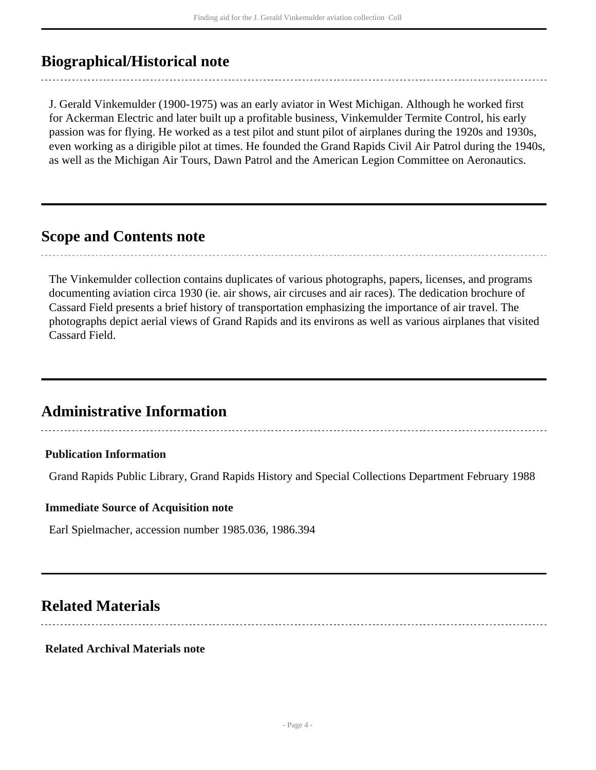# <span id="page-3-0"></span>**Biographical/Historical note**

J. Gerald Vinkemulder (1900-1975) was an early aviator in West Michigan. Although he worked first for Ackerman Electric and later built up a profitable business, Vinkemulder Termite Control, his early passion was for flying. He worked as a test pilot and stunt pilot of airplanes during the 1920s and 1930s, even working as a dirigible pilot at times. He founded the Grand Rapids Civil Air Patrol during the 1940s, as well as the Michigan Air Tours, Dawn Patrol and the American Legion Committee on Aeronautics.

## <span id="page-3-1"></span>**Scope and Contents note**

The Vinkemulder collection contains duplicates of various photographs, papers, licenses, and programs documenting aviation circa 1930 (ie. air shows, air circuses and air races). The dedication brochure of Cassard Field presents a brief history of transportation emphasizing the importance of air travel. The photographs depict aerial views of Grand Rapids and its environs as well as various airplanes that visited Cassard Field.

# <span id="page-3-2"></span>**Administrative Information**

# **Publication Information**

Grand Rapids Public Library, Grand Rapids History and Special Collections Department February 1988

#### **Immediate Source of Acquisition note**

Earl Spielmacher, accession number 1985.036, 1986.394

## <span id="page-3-3"></span>**Related Materials**

**Related Archival Materials note**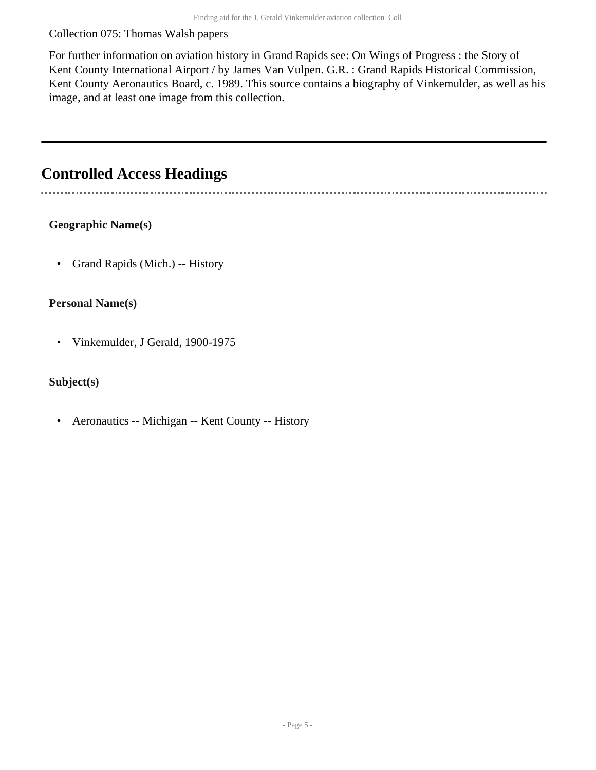#### Collection 075: Thomas Walsh papers

For further information on aviation history in Grand Rapids see: On Wings of Progress : the Story of Kent County International Airport / by James Van Vulpen. G.R. : Grand Rapids Historical Commission, Kent County Aeronautics Board, c. 1989. This source contains a biography of Vinkemulder, as well as his image, and at least one image from this collection.

# <span id="page-4-0"></span>**Controlled Access Headings**

### **Geographic Name(s)**

• Grand Rapids (Mich.) -- History

#### **Personal Name(s)**

• Vinkemulder, J Gerald, 1900-1975

### **Subject(s)**

• Aeronautics -- Michigan -- Kent County -- History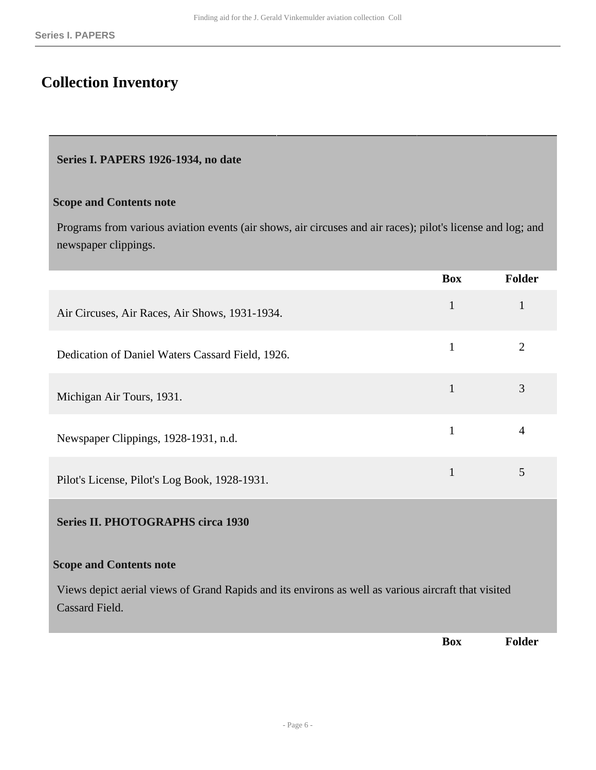# <span id="page-5-0"></span>**Collection Inventory**

#### <span id="page-5-1"></span>**Series I. PAPERS 1926-1934, no date**

#### **Scope and Contents note**

Programs from various aviation events (air shows, air circuses and air races); pilot's license and log; and newspaper clippings.

<span id="page-5-2"></span>

|                                                                                                                                                         | <b>Box</b>   | Folder         |
|---------------------------------------------------------------------------------------------------------------------------------------------------------|--------------|----------------|
| Air Circuses, Air Races, Air Shows, 1931-1934.                                                                                                          | $\mathbf{1}$ | $\mathbf{1}$   |
| Dedication of Daniel Waters Cassard Field, 1926.                                                                                                        | $\mathbf{1}$ | $\overline{2}$ |
| Michigan Air Tours, 1931.                                                                                                                               | $\mathbf{1}$ | $\overline{3}$ |
| Newspaper Clippings, 1928-1931, n.d.                                                                                                                    | $\mathbf{1}$ | $\overline{4}$ |
| Pilot's License, Pilot's Log Book, 1928-1931.                                                                                                           | $\mathbf{1}$ | 5              |
| <b>Series II. PHOTOGRAPHS circa 1930</b>                                                                                                                |              |                |
| <b>Scope and Contents note</b><br>Views depict aerial views of Grand Rapids and its environs as well as various aircraft that visited<br>Cassard Field. |              |                |
|                                                                                                                                                         | <b>Box</b>   | Folder         |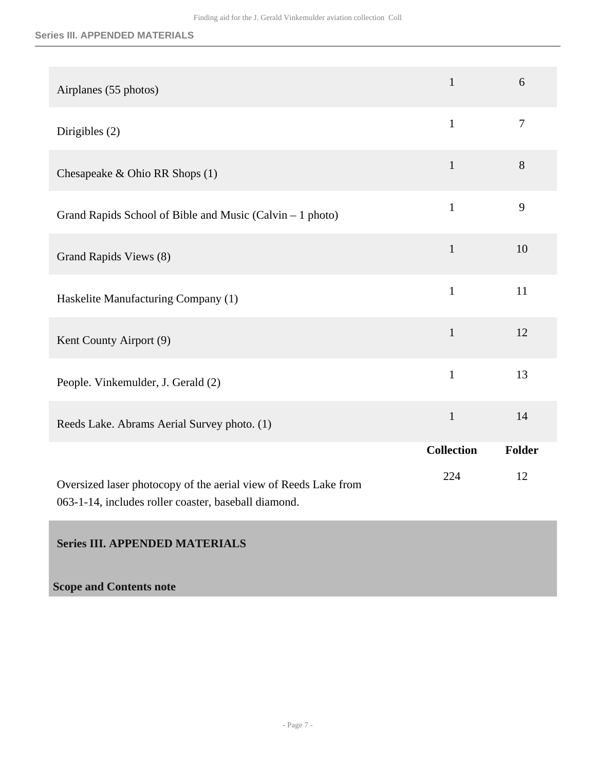#### **Series III. APPENDED MATERIALS**

| Airplanes (55 photos)                                                                                                   | $\mathbf{1}$      | 6              |
|-------------------------------------------------------------------------------------------------------------------------|-------------------|----------------|
| Dirigibles $(2)$                                                                                                        | $\mathbf{1}$      | $\overline{7}$ |
| Chesapeake & Ohio RR Shops (1)                                                                                          | $\mathbf{1}$      | 8              |
| Grand Rapids School of Bible and Music (Calvin - 1 photo)                                                               | $\mathbf{1}$      | 9              |
| Grand Rapids Views (8)                                                                                                  | $\mathbf{1}$      | 10             |
| Haskelite Manufacturing Company (1)                                                                                     | $\mathbf{1}$      | 11             |
| Kent County Airport (9)                                                                                                 | $\mathbf{1}$      | 12             |
| People. Vinkemulder, J. Gerald (2)                                                                                      | $\mathbf{1}$      | 13             |
| Reeds Lake. Abrams Aerial Survey photo. (1)                                                                             | $\mathbf{1}$      | 14             |
|                                                                                                                         | <b>Collection</b> | Folder         |
| Oversized laser photocopy of the aerial view of Reeds Lake from<br>063-1-14, includes roller coaster, baseball diamond. | 224               | 12             |

### <span id="page-6-0"></span>**Series III. APPENDED MATERIALS**

### **Scope and Contents note**